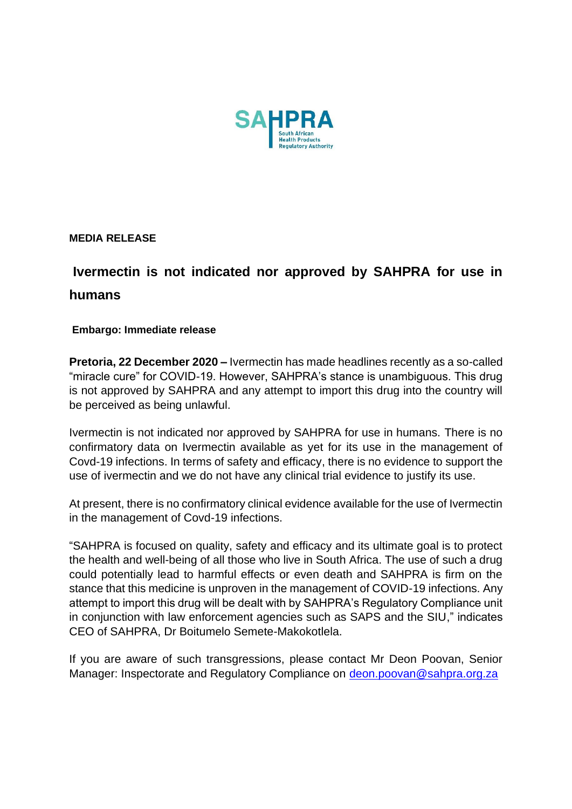

**MEDIA RELEASE** 

## **Ivermectin is not indicated nor approved by SAHPRA for use in humans**

## **Embargo: Immediate release**

**Pretoria, 22 December 2020 –** Ivermectin has made headlines recently as a so-called "miracle cure" for COVID-19. However, SAHPRA's stance is unambiguous. This drug is not approved by SAHPRA and any attempt to import this drug into the country will be perceived as being unlawful.

Ivermectin is not indicated nor approved by SAHPRA for use in humans. There is no confirmatory data on Ivermectin available as yet for its use in the management of Covd-19 infections. In terms of safety and efficacy, there is no evidence to support the use of ivermectin and we do not have any clinical trial evidence to justify its use.

At present, there is no confirmatory clinical evidence available for the use of Ivermectin in the management of Covd-19 infections.

"SAHPRA is focused on quality, safety and efficacy and its ultimate goal is to protect the health and well-being of all those who live in South Africa. The use of such a drug could potentially lead to harmful effects or even death and SAHPRA is firm on the stance that this medicine is unproven in the management of COVID-19 infections. Any attempt to import this drug will be dealt with by SAHPRA's Regulatory Compliance unit in conjunction with law enforcement agencies such as SAPS and the SIU," indicates CEO of SAHPRA, Dr Boitumelo Semete-Makokotlela.

If you are aware of such transgressions, please contact Mr Deon Poovan, Senior Manager: Inspectorate and Regulatory Compliance on [deon.poovan@sahpra.org.za](mailto:deon.poovan@sahpra.org.za)